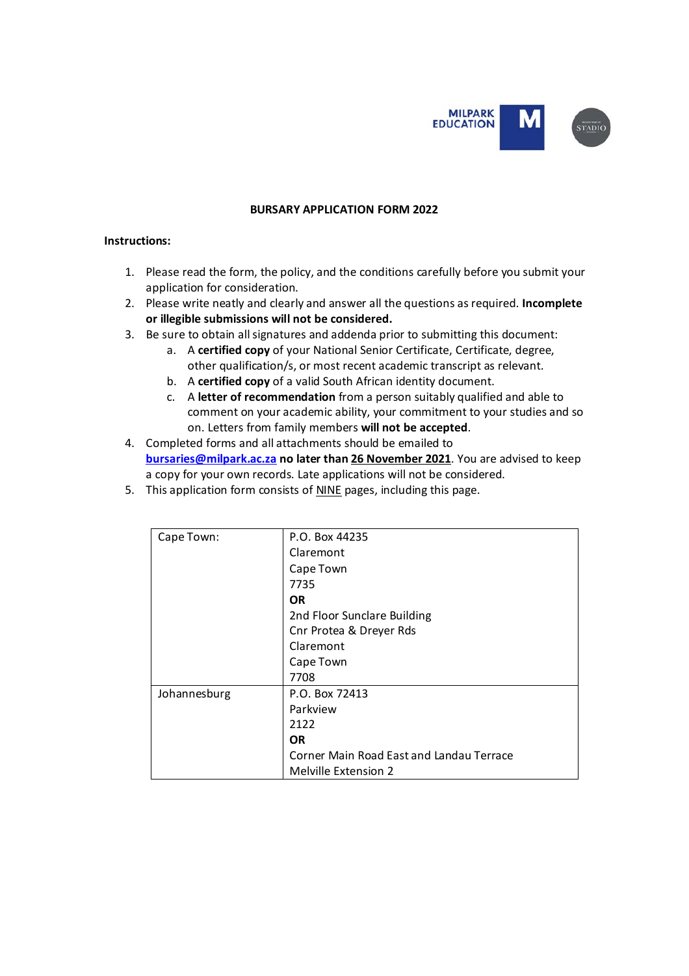

### **BURSARY APPLICATION FORM 2022**

### **Instructions:**

- 1. Please read the form, the policy, and the conditions carefully before you submit your application for consideration.
- 2. Please write neatly and clearly and answer all the questions as required. **Incomplete or illegible submissions will not be considered.**
- 3. Be sure to obtain all signatures and addenda prior to submitting this document:
	- a. A **certified copy** of your National Senior Certificate, Certificate, degree, other qualification/s, or most recent academic transcript as relevant.
	- b. A **certified copy** of a valid South African identity document.
	- c. A **letter of recommendation** from a person suitably qualified and able to comment on your academic ability, your commitment to your studies and so on. Letters from family members **will not be accepted**.
- 4. Completed forms and all attachments should be emailed to **[bursaries@milpark.ac.za](mailto:bursaries@milpark.ac.za) no later than 26 November 2021**. You are advised to keep a copy for your own records. Late applications will not be considered.
- 5. This application form consists of NINE pages, including this page.

| Cape Town:   | P.O. Box 44235                           |  |  |  |  |
|--------------|------------------------------------------|--|--|--|--|
|              | Claremont                                |  |  |  |  |
|              | Cape Town                                |  |  |  |  |
|              | 7735<br>OR.                              |  |  |  |  |
|              |                                          |  |  |  |  |
|              | 2nd Floor Sunclare Building              |  |  |  |  |
|              | Cnr Protea & Dreyer Rds                  |  |  |  |  |
|              | Claremont                                |  |  |  |  |
|              | Cape Town                                |  |  |  |  |
|              | 7708                                     |  |  |  |  |
| Johannesburg | P.O. Box 72413                           |  |  |  |  |
|              | Parkview                                 |  |  |  |  |
|              | 2122                                     |  |  |  |  |
|              | <b>OR</b>                                |  |  |  |  |
|              | Corner Main Road East and Landau Terrace |  |  |  |  |
|              | <b>Melville Extension 2</b>              |  |  |  |  |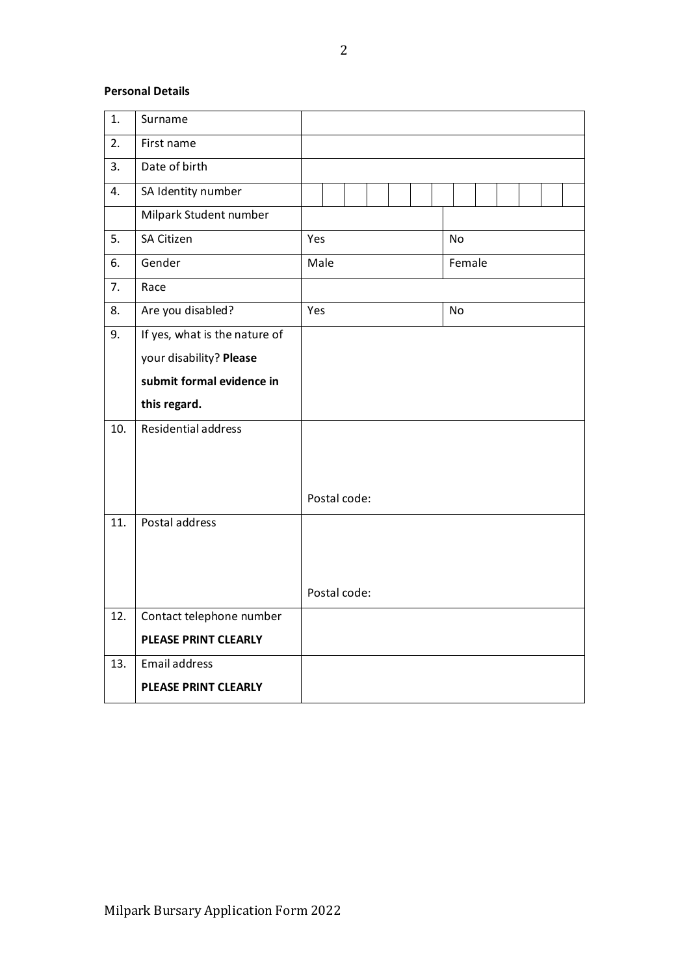# **Personal Details**

| 1.  | Surname                       |      |              |  |  |           |  |  |  |
|-----|-------------------------------|------|--------------|--|--|-----------|--|--|--|
| 2.  | First name                    |      |              |  |  |           |  |  |  |
| 3.  | Date of birth                 |      |              |  |  |           |  |  |  |
| 4.  | SA Identity number            |      |              |  |  |           |  |  |  |
|     | Milpark Student number        |      |              |  |  |           |  |  |  |
| 5.  | <b>SA Citizen</b>             | Yes  |              |  |  | <b>No</b> |  |  |  |
| 6.  | Gender                        | Male |              |  |  | Female    |  |  |  |
| 7.  | Race                          |      |              |  |  |           |  |  |  |
| 8.  | Are you disabled?             | Yes  |              |  |  | <b>No</b> |  |  |  |
| 9.  | If yes, what is the nature of |      |              |  |  |           |  |  |  |
|     | your disability? Please       |      |              |  |  |           |  |  |  |
|     | submit formal evidence in     |      |              |  |  |           |  |  |  |
|     | this regard.                  |      |              |  |  |           |  |  |  |
| 10. | Residential address           |      |              |  |  |           |  |  |  |
|     |                               |      |              |  |  |           |  |  |  |
|     |                               |      |              |  |  |           |  |  |  |
|     |                               |      | Postal code: |  |  |           |  |  |  |
| 11. | Postal address                |      |              |  |  |           |  |  |  |
|     |                               |      |              |  |  |           |  |  |  |
|     |                               |      |              |  |  |           |  |  |  |
|     |                               |      | Postal code: |  |  |           |  |  |  |
| 12. | Contact telephone number      |      |              |  |  |           |  |  |  |
|     | <b>PLEASE PRINT CLEARLY</b>   |      |              |  |  |           |  |  |  |
| 13. | <b>Email address</b>          |      |              |  |  |           |  |  |  |
|     | PLEASE PRINT CLEARLY          |      |              |  |  |           |  |  |  |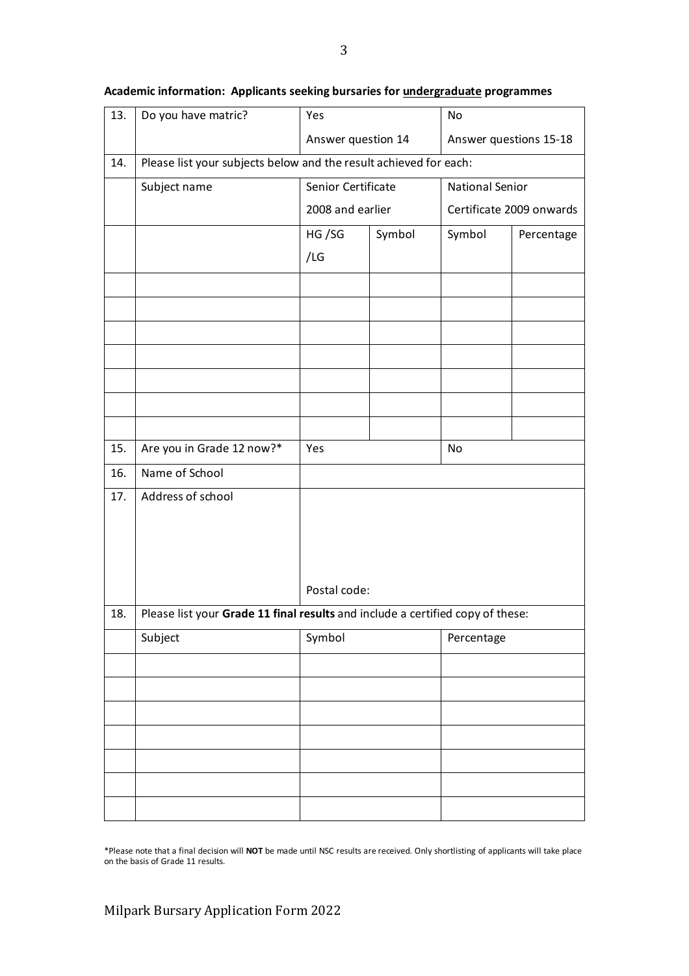| 13. | Do you have matric?                                                            | Yes                |        | No                       |            |  |
|-----|--------------------------------------------------------------------------------|--------------------|--------|--------------------------|------------|--|
|     |                                                                                | Answer question 14 |        | Answer questions 15-18   |            |  |
| 14. | Please list your subjects below and the result achieved for each:              |                    |        |                          |            |  |
|     | Subject name                                                                   | Senior Certificate |        | <b>National Senior</b>   |            |  |
|     |                                                                                | 2008 and earlier   |        | Certificate 2009 onwards |            |  |
|     |                                                                                | HG/SG              | Symbol | Symbol                   | Percentage |  |
|     |                                                                                | /LG                |        |                          |            |  |
|     |                                                                                |                    |        |                          |            |  |
|     |                                                                                |                    |        |                          |            |  |
|     |                                                                                |                    |        |                          |            |  |
|     |                                                                                |                    |        |                          |            |  |
|     |                                                                                |                    |        |                          |            |  |
|     |                                                                                |                    |        |                          |            |  |
|     |                                                                                |                    |        |                          |            |  |
| 15. | Are you in Grade 12 now?*                                                      | Yes                |        | No                       |            |  |
| 16. | Name of School                                                                 |                    |        |                          |            |  |
| 17. | Address of school                                                              |                    |        |                          |            |  |
|     |                                                                                |                    |        |                          |            |  |
|     |                                                                                |                    |        |                          |            |  |
|     |                                                                                |                    |        |                          |            |  |
|     |                                                                                | Postal code:       |        |                          |            |  |
| 18. | Please list your Grade 11 final results and include a certified copy of these: |                    |        |                          |            |  |
|     | Subject                                                                        | Symbol             |        | Percentage               |            |  |
|     |                                                                                |                    |        |                          |            |  |
|     |                                                                                |                    |        |                          |            |  |
|     |                                                                                |                    |        |                          |            |  |
|     |                                                                                |                    |        |                          |            |  |
|     |                                                                                |                    |        |                          |            |  |
|     |                                                                                |                    |        |                          |            |  |
|     |                                                                                |                    |        |                          |            |  |

## **Academic information: Applicants seeking bursaries for undergraduate programmes**

\*Please note that a final decision will **NOT** be made until NSC results are received. Only shortlisting of applicants will take place on the basis of Grade 11 results.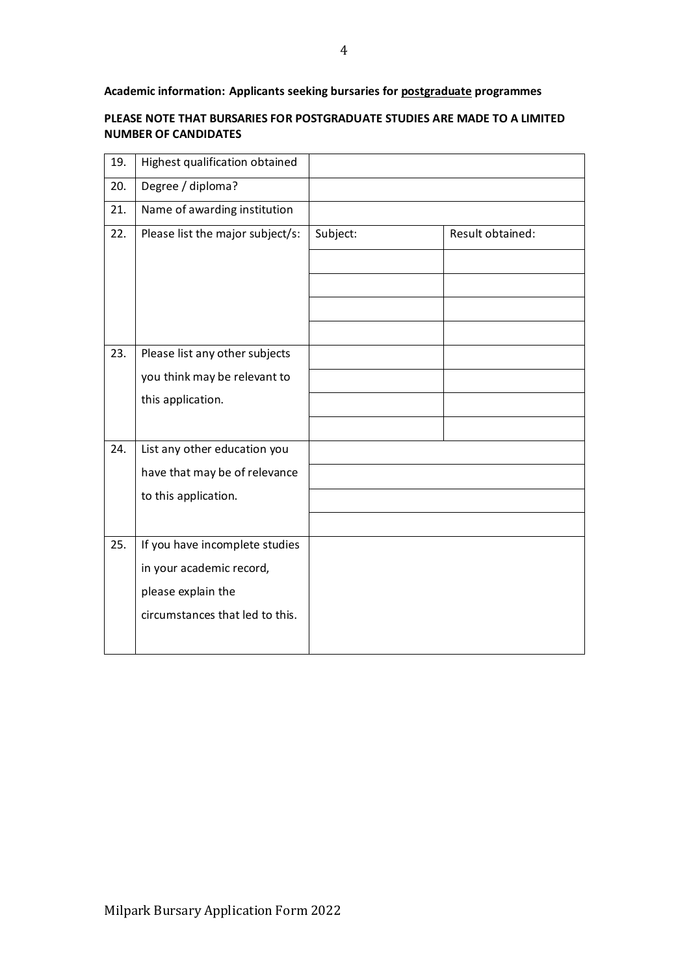**Academic information: Applicants seeking bursaries for postgraduate programmes**

### **PLEASE NOTE THAT BURSARIES FOR POSTGRADUATE STUDIES ARE MADE TO A LIMITED NUMBER OF CANDIDATES**

| 19. | Highest qualification obtained   |          |                  |
|-----|----------------------------------|----------|------------------|
| 20. | Degree / diploma?                |          |                  |
| 21. | Name of awarding institution     |          |                  |
| 22. | Please list the major subject/s: | Subject: | Result obtained: |
|     |                                  |          |                  |
|     |                                  |          |                  |
|     |                                  |          |                  |
|     |                                  |          |                  |
| 23. | Please list any other subjects   |          |                  |
|     | you think may be relevant to     |          |                  |
|     | this application.                |          |                  |
|     |                                  |          |                  |
| 24. | List any other education you     |          |                  |
|     | have that may be of relevance    |          |                  |
|     | to this application.             |          |                  |
|     |                                  |          |                  |
| 25. | If you have incomplete studies   |          |                  |
|     | in your academic record,         |          |                  |
|     | please explain the               |          |                  |
|     | circumstances that led to this.  |          |                  |
|     |                                  |          |                  |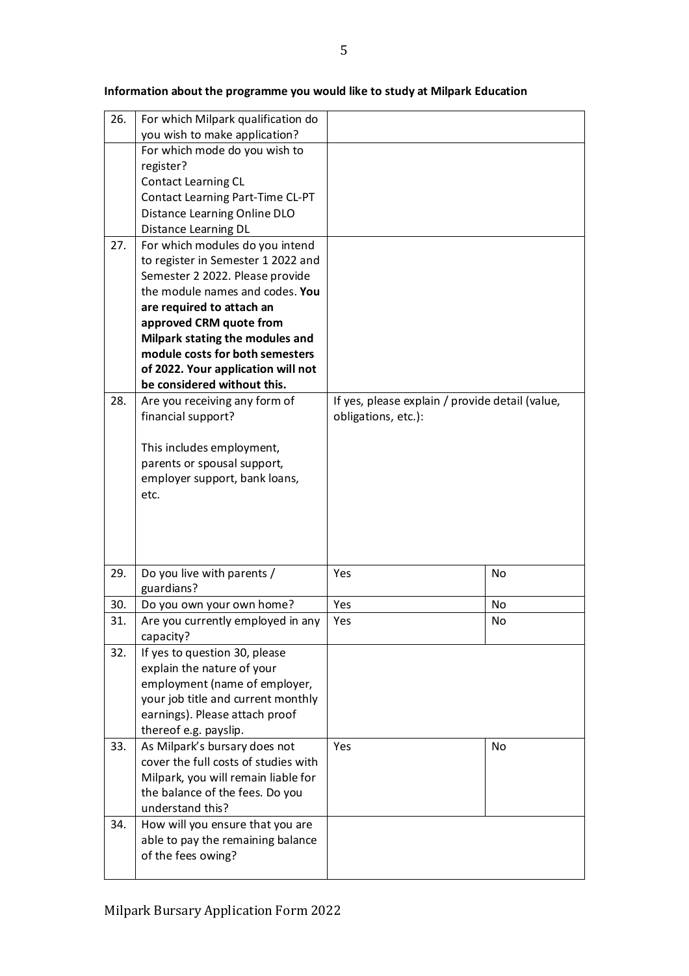| 26. | For which Milpark qualification do         |                                                 |     |
|-----|--------------------------------------------|-------------------------------------------------|-----|
|     | you wish to make application?              |                                                 |     |
|     | For which mode do you wish to              |                                                 |     |
|     | register?                                  |                                                 |     |
|     | <b>Contact Learning CL</b>                 |                                                 |     |
|     | Contact Learning Part-Time CL-PT           |                                                 |     |
|     | Distance Learning Online DLO               |                                                 |     |
|     | Distance Learning DL                       |                                                 |     |
| 27. | For which modules do you intend            |                                                 |     |
|     | to register in Semester 1 2022 and         |                                                 |     |
|     | Semester 2 2022. Please provide            |                                                 |     |
|     | the module names and codes. You            |                                                 |     |
|     | are required to attach an                  |                                                 |     |
|     | approved CRM quote from                    |                                                 |     |
|     | Milpark stating the modules and            |                                                 |     |
|     | module costs for both semesters            |                                                 |     |
|     | of 2022. Your application will not         |                                                 |     |
|     | be considered without this.                |                                                 |     |
| 28. | Are you receiving any form of              | If yes, please explain / provide detail (value, |     |
|     | financial support?                         | obligations, etc.):                             |     |
|     |                                            |                                                 |     |
|     | This includes employment,                  |                                                 |     |
|     | parents or spousal support,                |                                                 |     |
|     | employer support, bank loans,              |                                                 |     |
|     | etc.                                       |                                                 |     |
|     |                                            |                                                 |     |
|     |                                            |                                                 |     |
|     |                                            |                                                 |     |
|     |                                            |                                                 |     |
| 29. | Do you live with parents /                 | Yes                                             | No  |
|     | guardians?                                 | Yes                                             |     |
| 30. | Do you own your own home?                  |                                                 | No  |
| 31. | Are you currently employed in any          | Yes                                             | No  |
| 32. | capacity?<br>If yes to question 30, please |                                                 |     |
|     | explain the nature of your                 |                                                 |     |
|     | employment (name of employer,              |                                                 |     |
|     | your job title and current monthly         |                                                 |     |
|     | earnings). Please attach proof             |                                                 |     |
|     | thereof e.g. payslip.                      |                                                 |     |
| 33. | As Milpark's bursary does not              | Yes                                             | No. |
|     | cover the full costs of studies with       |                                                 |     |
|     | Milpark, you will remain liable for        |                                                 |     |
|     | the balance of the fees. Do you            |                                                 |     |
|     | understand this?                           |                                                 |     |
|     |                                            |                                                 |     |
| 34. | How will you ensure that you are           |                                                 |     |
|     | able to pay the remaining balance          |                                                 |     |
|     | of the fees owing?                         |                                                 |     |
|     |                                            |                                                 |     |

**Information about the programme you would like to study at Milpark Education**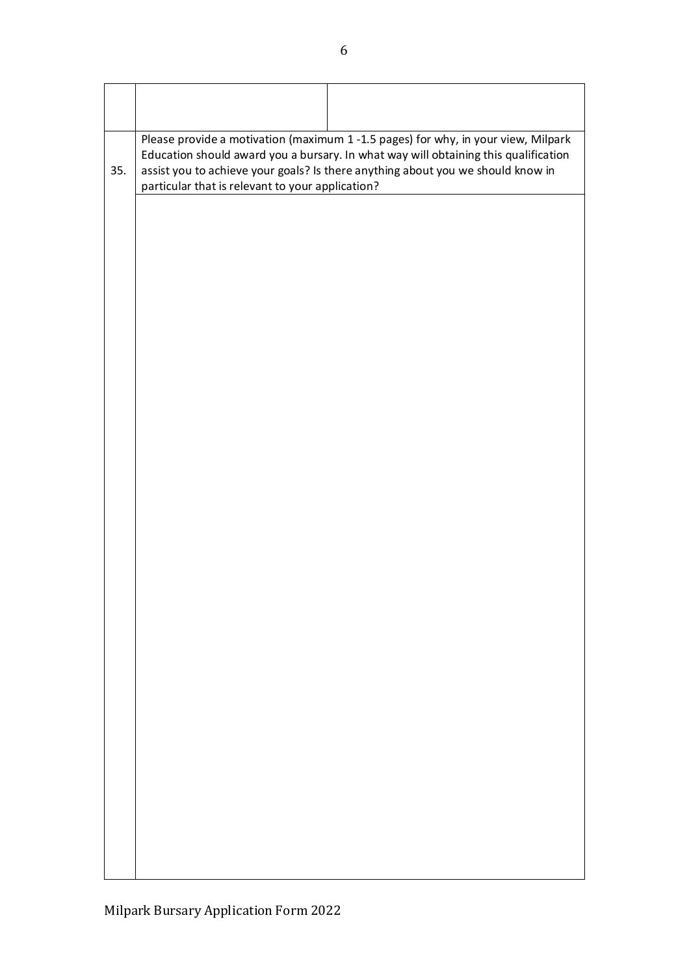| 35. | Please provide a motivation (maximum 1 -1.5 pages) for why, in your view, Milpark<br>Education should award you a bursary. In what way will obtaining this qualification<br>assist you to achieve your goals? Is there anything about you we should know in<br>particular that is relevant to your application? |
|-----|-----------------------------------------------------------------------------------------------------------------------------------------------------------------------------------------------------------------------------------------------------------------------------------------------------------------|
|     |                                                                                                                                                                                                                                                                                                                 |
|     |                                                                                                                                                                                                                                                                                                                 |
|     |                                                                                                                                                                                                                                                                                                                 |
|     |                                                                                                                                                                                                                                                                                                                 |
|     |                                                                                                                                                                                                                                                                                                                 |
|     |                                                                                                                                                                                                                                                                                                                 |
|     |                                                                                                                                                                                                                                                                                                                 |
|     |                                                                                                                                                                                                                                                                                                                 |
|     |                                                                                                                                                                                                                                                                                                                 |
|     |                                                                                                                                                                                                                                                                                                                 |
|     |                                                                                                                                                                                                                                                                                                                 |
|     |                                                                                                                                                                                                                                                                                                                 |
|     |                                                                                                                                                                                                                                                                                                                 |
|     |                                                                                                                                                                                                                                                                                                                 |
|     |                                                                                                                                                                                                                                                                                                                 |
|     |                                                                                                                                                                                                                                                                                                                 |
|     |                                                                                                                                                                                                                                                                                                                 |
|     |                                                                                                                                                                                                                                                                                                                 |
|     |                                                                                                                                                                                                                                                                                                                 |
|     |                                                                                                                                                                                                                                                                                                                 |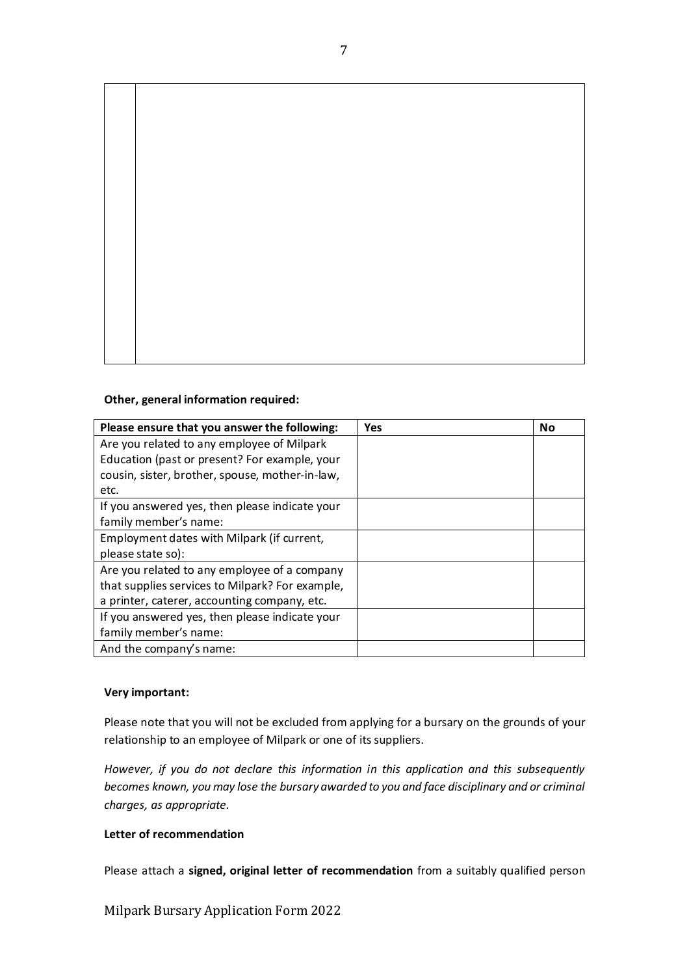

#### **Other, general information required:**

| Please ensure that you answer the following:    | Yes | No |
|-------------------------------------------------|-----|----|
| Are you related to any employee of Milpark      |     |    |
| Education (past or present? For example, your   |     |    |
| cousin, sister, brother, spouse, mother-in-law, |     |    |
| etc.                                            |     |    |
| If you answered yes, then please indicate your  |     |    |
| family member's name:                           |     |    |
| Employment dates with Milpark (if current,      |     |    |
| please state so):                               |     |    |
| Are you related to any employee of a company    |     |    |
| that supplies services to Milpark? For example, |     |    |
| a printer, caterer, accounting company, etc.    |     |    |
| If you answered yes, then please indicate your  |     |    |
| family member's name:                           |     |    |
| And the company's name:                         |     |    |

### **Very important:**

Please note that you will not be excluded from applying for a bursary on the grounds of your relationship to an employee of Milpark or one of its suppliers.

*However, if you do not declare this information in this application and this subsequently becomes known, you may lose the bursary awarded to you and face disciplinary and or criminal charges, as appropriate.* 

# **Letter of recommendation**

Please attach a **signed, original letter of recommendation** from a suitably qualified person

Milpark Bursary Application Form 2022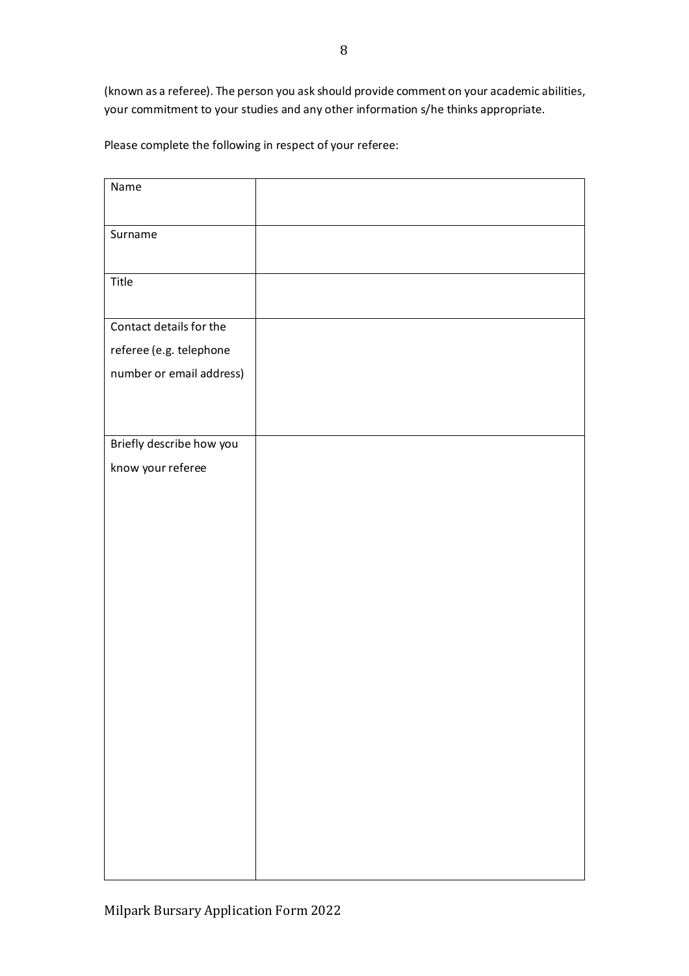(known as a referee). The person you ask should provide comment on your academic abilities, your commitment to your studies and any other information s/he thinks appropriate.

Please complete the following in respect of your referee:

| Name                     |  |
|--------------------------|--|
| Surname                  |  |
| Title                    |  |
| Contact details for the  |  |
| referee (e.g. telephone  |  |
| number or email address) |  |
|                          |  |
|                          |  |
| Briefly describe how you |  |
| know your referee        |  |
|                          |  |
|                          |  |
|                          |  |
|                          |  |
|                          |  |
|                          |  |
|                          |  |
|                          |  |
|                          |  |
|                          |  |
|                          |  |
|                          |  |
|                          |  |
|                          |  |
|                          |  |
|                          |  |
|                          |  |